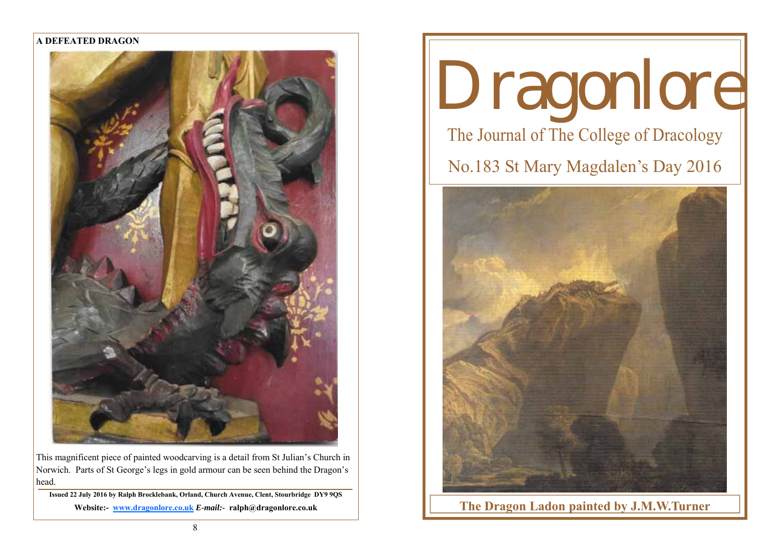## **A DEFEATED DRAGON**



This magnificent piece of painted woodcarving is a detail from St Julian's Church in Norwich. Parts of St George's legs in gold armour can be seen behind the Dragon's head.

**Issued 22 July 2016 by Ralph Brocklebank, Orland, Church Avenue, Clent, Stourbridge DY9 9QS Website:- www.dragonlore.co.uk** *E-mail:-* **ralph@dragonlore.co.uk**

# Dragonlore The Journal of The College of Dracology No.183 St Mary Magdalen's Day 2016



**The Dragon Ladon painted by J.M.W.Turner**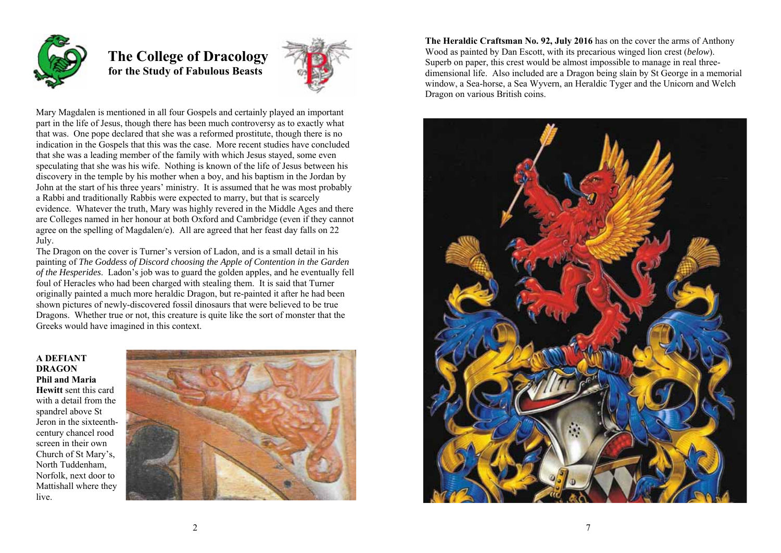

 **The College of Dracology for the Study of Fabulous Beasts** 



Mary Magdalen is mentioned in all four Gospels and certainly played an important part in the life of Jesus, though there has been much controversy as to exactly what that was. One pope declared that she was a reformed prostitute, though there is no indication in the Gospels that this was the case. More recent studies have concluded that she was a leading member of the family with which Jesus stayed, some even speculating that she was his wife. Nothing is known of the life of Jesus between his discovery in the temple by his mother when a boy, and his baptism in the Jordan by John at the start of his three years' ministry. It is assumed that he was most probably a Rabbi and traditionally Rabbis were expected to marry, but that is scarcely evidence. Whatever the truth, Mary was highly revered in the Middle Ages and there are Colleges named in her honour at both Oxford and Cambridge (even if they cannot agree on the spelling of Magdalen/e). All are agreed that her feast day falls on 22 July.

The Dragon on the cover is Turner's version of Ladon, and is a small detail in his painting of *The Goddess of Discord choosing the Apple of Contention in the Garden of the Hesperides*. Ladon's job was to guard the golden apples, and he eventually fell foul of Heracles who had been charged with stealing them. It is said that Turner originally painted a much more heraldic Dragon, but re-painted it after he had been shown pictures of newly-discovered fossil dinosaurs that were believed to be true Dragons. Whether true or not, this creature is quite like the sort of monster that the Greeks would have imagined in this context.

# **A DEFIANT DRAGON Phil and Maria Hewitt** sent this card with a detail from the spandrel above St Jeron in the sixteenthcentury chancel rood screen in their own Church of St Mary's, North Tuddenham, Norfolk, next door to Mattishall where they live.



**The Heraldic Craftsman No. 92, July 2016** has on the cover the arms of Anthony Wood as painted by Dan Escott, with its precarious winged lion crest (*below*). Superb on paper, this crest would be almost impossible to manage in real threedimensional life. Also included are a Dragon being slain by St George in a memorial window, a Sea-horse, a Sea Wyvern, an Heraldic Tyger and the Unicorn and Welch Dragon on various British coins.

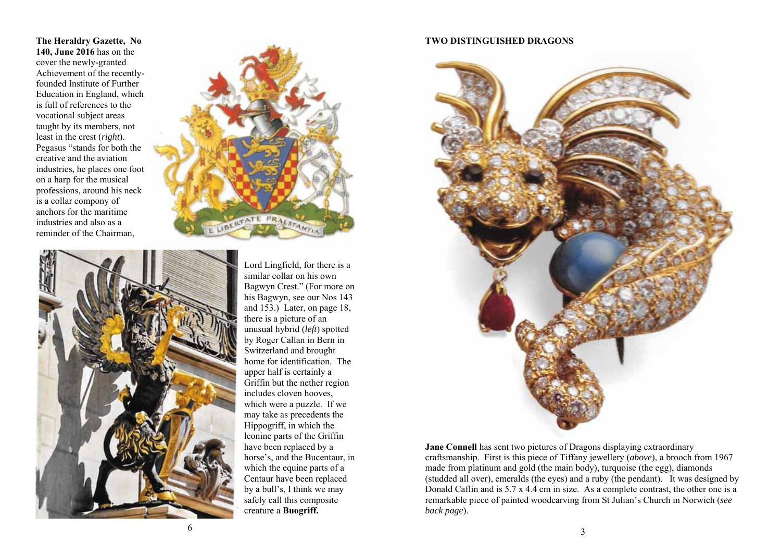**The Heraldry Gazette, No 140, June 2016** has on the cover the newly-granted Achievement of the recentlyfounded Institute of Further Education in England, which is full of references to the vocational subject areas taught by its members, not least in the crest (*right*). Pegasus "stands for both the creative and the aviation industries, he places one foot on a harp for the musical professions, around his neck is a collar compony of anchors for the maritime industries and also as a reminder of the Chairman,



Lord Lingfield, for there is a similar collar on his own Bagwyn Crest." (For more on his Bagwyn, see our Nos 143 and 153.) Later, on page 18, there is a picture of an unusual hybrid (*left*) spotted by Roger Callan in Bern in Switzerland and brought home for identification. The upper half is certainly a Griffin but the nether region includes cloven hooves, which were a puzzle. If we may take as precedents the Hippogriff, in which the leonine parts of the Griffin have been replaced by a horse's, and the Bucentaur, in which the equine parts of a Centaur have been replaced by a bull's, I think we may safely call this composite creature a **Buogriff.** 

## **TWO DISTINGUISHED DRAGONS**



**Jane Connell** has sent two pictures of Dragons displaying extraordinary craftsmanship. First is this piece of Tiffany jewellery (*above*), a brooch from 1967 made from platinum and gold (the main body), turquoise (the egg), diamonds (studded all over), emeralds (the eyes) and a ruby (the pendant). It was designed by Donald Caflin and is 5.7 x 4.4 cm in size. As a complete contrast, the other one is a remarkable piece of painted woodcarving from St Julian's Church in Norwich (*see back page*).